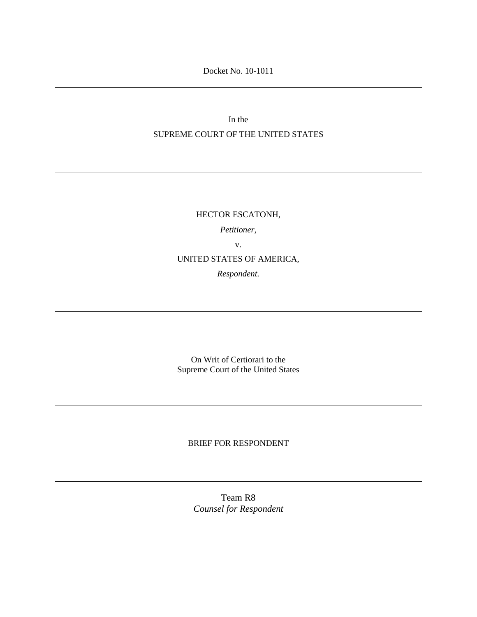Docket No. 10-1011

In the SUPREME COURT OF THE UNITED STATES

> HECTOR ESCATONH, *Petitioner,* v. UNITED STATES OF AMERICA, *Respondent.*

> On Writ of Certiorari to the Supreme Court of the United States

### BRIEF FOR RESPONDENT

Team R8 *Counsel for Respondent*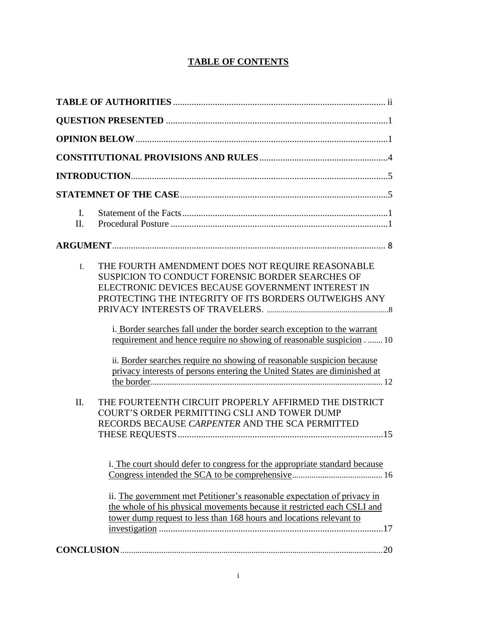## **TABLE OF CONTENTS**

| $\mathbf{I}$ .<br>II. |                                                                                                                                                                                                                                                                                                                                                                                                                                                                                                                                                                                                                                                                                           |
|-----------------------|-------------------------------------------------------------------------------------------------------------------------------------------------------------------------------------------------------------------------------------------------------------------------------------------------------------------------------------------------------------------------------------------------------------------------------------------------------------------------------------------------------------------------------------------------------------------------------------------------------------------------------------------------------------------------------------------|
|                       |                                                                                                                                                                                                                                                                                                                                                                                                                                                                                                                                                                                                                                                                                           |
| I.<br>II.             | THE FOURTH AMENDMENT DOES NOT REQUIRE REASONABLE<br>SUSPICION TO CONDUCT FORENSIC BORDER SEARCHES OF<br>ELECTRONIC DEVICES BECAUSE GOVERNMENT INTEREST IN<br>PROTECTING THE INTEGRITY OF ITS BORDERS OUTWEIGHS ANY<br>i. Border searches fall under the border search exception to the warrant<br>requirement and hence require no showing of reasonable suspicion  10<br>ii. Border searches require no showing of reasonable suspicion because<br>privacy interests of persons entering the United States are diminished at<br>THE FOURTEENTH CIRCUIT PROPERLY AFFIRMED THE DISTRICT<br>COURT'S ORDER PERMITTING CSLI AND TOWER DUMP<br>RECORDS BECAUSE CARPENTER AND THE SCA PERMITTED |
|                       | i. The court should defer to congress for the appropriate standard because<br>ii. The government met Petitioner's reasonable expectation of privacy in<br>the whole of his physical movements because it restricted each CSLI and<br>tower dump request to less than 168 hours and locations relevant to                                                                                                                                                                                                                                                                                                                                                                                  |
|                       |                                                                                                                                                                                                                                                                                                                                                                                                                                                                                                                                                                                                                                                                                           |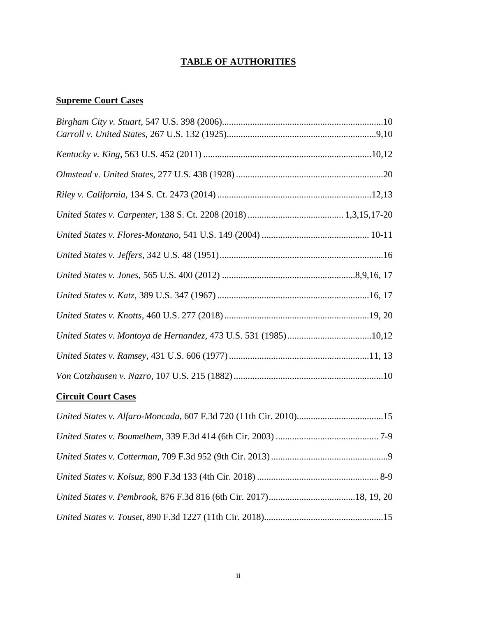## **TABLE OF AUTHORITIES**

# **Supreme Court Cases**

## **Circuit Court Cases**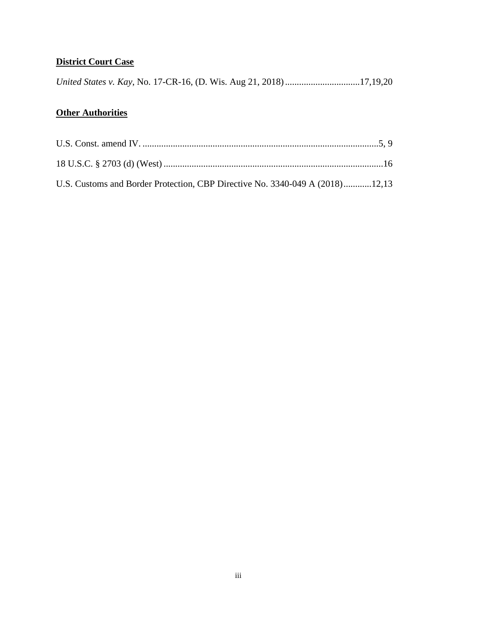## **District Court Case**

|  | United States v. Kay, No. 17-CR-16, (D. Wis. Aug 21, 2018) 17,19,20 |  |
|--|---------------------------------------------------------------------|--|
|  |                                                                     |  |

## **Other Authorities**

| U.S. Customs and Border Protection, CBP Directive No. 3340-049 A (2018)12,13 |  |
|------------------------------------------------------------------------------|--|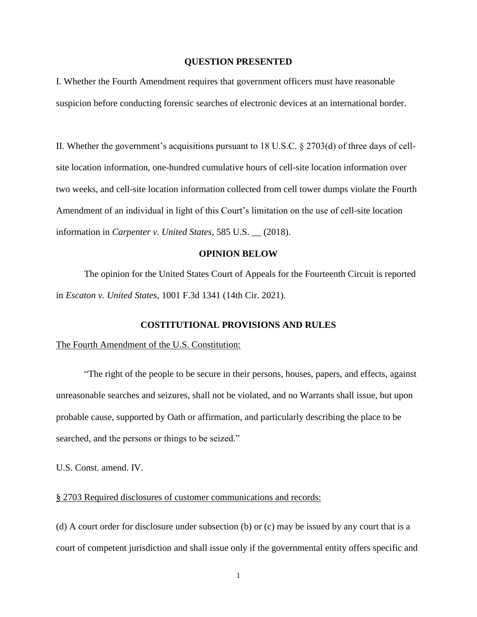#### **QUESTION PRESENTED**

I. Whether the Fourth Amendment requires that government officers must have reasonable suspicion before conducting forensic searches of electronic devices at an international border.

II. Whether the government's acquisitions pursuant to 18 U.S.C. § 2703(d) of three days of cellsite location information, one-hundred cumulative hours of cell-site location information over two weeks, and cell-site location information collected from cell tower dumps violate the Fourth Amendment of an individual in light of this Court's limitation on the use of cell-site location information in *Carpenter v. United States*, 585 U.S. \_\_ (2018).

#### **OPINION BELOW**

The opinion for the United States Court of Appeals for the Fourteenth Circuit is reported in *Escaton v. United States*, 1001 F.3d 1341 (14th Cir. 2021).

#### **COSTITUTIONAL PROVISIONS AND RULES**

#### The Fourth Amendment of the U.S. Constitution:

"The right of the people to be secure in their persons, houses, papers, and effects, against unreasonable searches and seizures, shall not be violated, and no Warrants shall issue, but upon probable cause, supported by Oath or affirmation, and particularly describing the place to be searched, and the persons or things to be seized."

U.S. Const. amend. IV.

### § 2703 Required disclosures of customer communications and records:

(d) A court order for disclosure under subsection (b) or (c) may be issued by any court that is a court of competent jurisdiction and shall issue only if the governmental entity offers specific and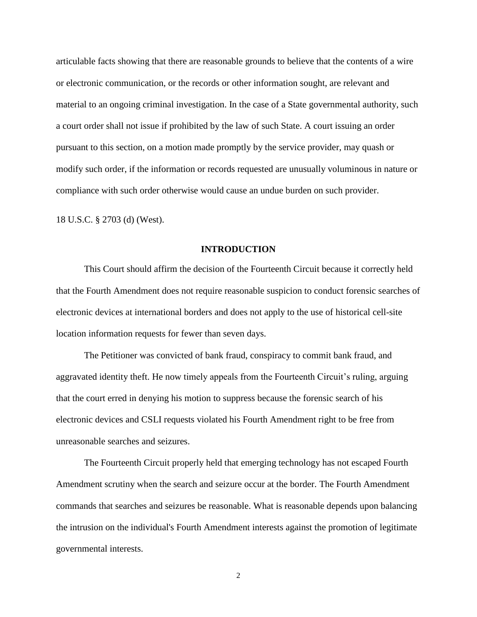articulable facts showing that there are reasonable grounds to believe that the contents of a wire or electronic communication, or the records or other information sought, are relevant and material to an ongoing criminal investigation. In the case of a State governmental authority, such a court order shall not issue if prohibited by the law of such State. A court issuing an order pursuant to this section, on a motion made promptly by the service provider, may quash or modify such order, if the information or records requested are unusually voluminous in nature or compliance with such order otherwise would cause an undue burden on such provider.

18 U.S.C. § 2703 (d) (West).

#### **INTRODUCTION**

This Court should affirm the decision of the Fourteenth Circuit because it correctly held that the Fourth Amendment does not require reasonable suspicion to conduct forensic searches of electronic devices at international borders and does not apply to the use of historical cell-site location information requests for fewer than seven days.

The Petitioner was convicted of bank fraud, conspiracy to commit bank fraud, and aggravated identity theft. He now timely appeals from the Fourteenth Circuit's ruling, arguing that the court erred in denying his motion to suppress because the forensic search of his electronic devices and CSLI requests violated his Fourth Amendment right to be free from unreasonable searches and seizures.

The Fourteenth Circuit properly held that emerging technology has not escaped Fourth Amendment scrutiny when the search and seizure occur at the border. The [Fourth Amendment](https://advance.lexis.com/document/documentlink/?pdmfid=1000516&crid=38b6290c-213e-4ed9-aeae-64f373712cea&pdworkfolderid=e9ca5c65-3f70-48f0-a348-4d4faa0877fd&ecomp=v311k&prid=5f8fa6d2-2c78-4b3c-bedb-c8addcec7d85&aci=la&cbc=0&lnsi=a91c3f8b-a2e0-40b2-ab79-7573d6e9e9ba&rmflag=0&sit=1549761838798.358) commands that searches and seizures be reasonable. What is reasonable depends upon balancing the intrusion on the individual's [Fourth Amendment](https://advance.lexis.com/document/documentlink/?pdmfid=1000516&crid=38b6290c-213e-4ed9-aeae-64f373712cea&pdworkfolderid=e9ca5c65-3f70-48f0-a348-4d4faa0877fd&ecomp=v311k&prid=5f8fa6d2-2c78-4b3c-bedb-c8addcec7d85&aci=la&cbc=0&lnsi=a91c3f8b-a2e0-40b2-ab79-7573d6e9e9ba&rmflag=0&sit=1549761838798.358) interests against the promotion of legitimate governmental interests.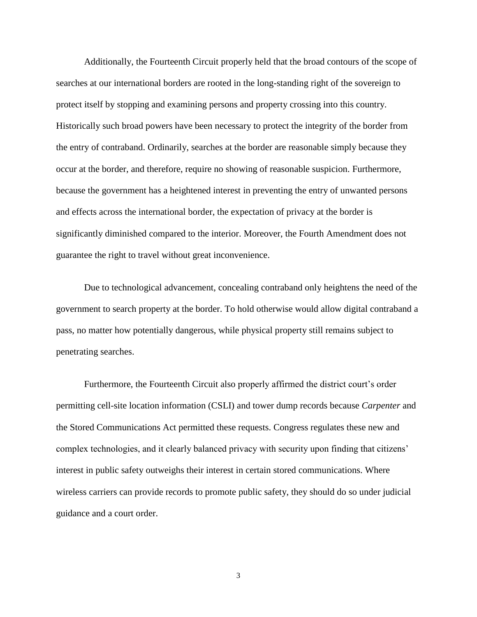Additionally, the Fourteenth Circuit properly held that the broad contours of the scope of searches at our international borders are rooted in the long-standing right of the sovereign to protect itself by stopping and examining persons and property crossing into this country. Historically such broad powers have been necessary to protect the integrity of the border from the entry of contraband. Ordinarily, searches at the border are reasonable simply because they occur at the border, and therefore, require no showing of reasonable suspicion. Furthermore, because the government has a heightened interest in preventing the entry of unwanted persons and effects across the international border, the expectation of privacy at the border is significantly diminished compared to the interior. Moreover, the Fourth Amendment does not guarantee the right to travel without great inconvenience.

Due to technological advancement, concealing contraband only heightens the need of the government to search property at the border. To hold otherwise would allow digital contraband a pass, no matter how potentially dangerous, while physical property still remains subject to penetrating searches.

Furthermore, the Fourteenth Circuit also properly affirmed the district court's order permitting cell-site location information (CSLI) and tower dump records because *Carpenter* and the Stored Communications Act permitted these requests. Congress regulates these new and complex technologies, and it clearly balanced privacy with security upon finding that citizens' interest in public safety outweighs their interest in certain stored communications. Where wireless carriers can provide records to promote public safety, they should do so under judicial guidance and a court order.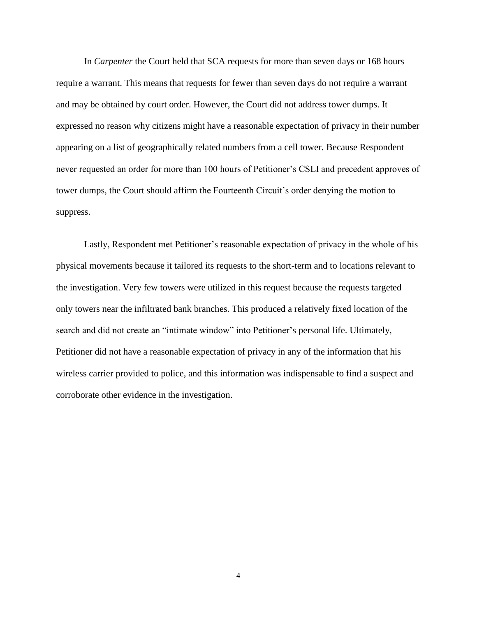In *Carpenter* the Court held that SCA requests for more than seven days or 168 hours require a warrant. This means that requests for fewer than seven days do not require a warrant and may be obtained by court order. However, the Court did not address tower dumps. It expressed no reason why citizens might have a reasonable expectation of privacy in their number appearing on a list of geographically related numbers from a cell tower. Because Respondent never requested an order for more than 100 hours of Petitioner's CSLI and precedent approves of tower dumps, the Court should affirm the Fourteenth Circuit's order denying the motion to suppress.

Lastly, Respondent met Petitioner's reasonable expectation of privacy in the whole of his physical movements because it tailored its requests to the short-term and to locations relevant to the investigation. Very few towers were utilized in this request because the requests targeted only towers near the infiltrated bank branches. This produced a relatively fixed location of the search and did not create an "intimate window" into Petitioner's personal life. Ultimately, Petitioner did not have a reasonable expectation of privacy in any of the information that his wireless carrier provided to police, and this information was indispensable to find a suspect and corroborate other evidence in the investigation.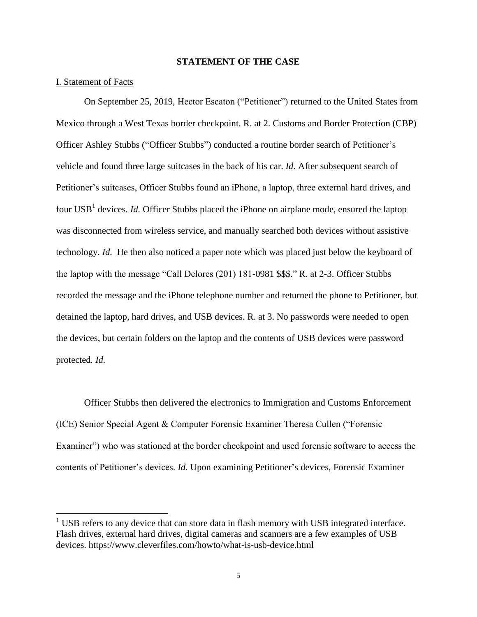#### **STATEMENT OF THE CASE**

#### I. Statement of Facts

 $\overline{a}$ 

On September 25, 2019, Hector Escaton ("Petitioner") returned to the United States from Mexico through a West Texas border checkpoint. R. at 2. Customs and Border Protection (CBP) Officer Ashley Stubbs ("Officer Stubbs") conducted a routine border search of Petitioner's vehicle and found three large suitcases in the back of his car. *Id*. After subsequent search of Petitioner's suitcases, Officer Stubbs found an iPhone, a laptop, three external hard drives, and four USB<sup>1</sup> devices. *Id.* Officer Stubbs placed the iPhone on airplane mode, ensured the laptop was disconnected from wireless service, and manually searched both devices without assistive technology. *Id.* He then also noticed a paper note which was placed just below the keyboard of the laptop with the message "Call Delores (201) 181-0981 \$\$\$." R. at 2-3. Officer Stubbs recorded the message and the iPhone telephone number and returned the phone to Petitioner, but detained the laptop, hard drives, and USB devices. R. at 3. No passwords were needed to open the devices, but certain folders on the laptop and the contents of USB devices were password protected*. Id.*

Officer Stubbs then delivered the electronics to Immigration and Customs Enforcement (ICE) Senior Special Agent & Computer Forensic Examiner Theresa Cullen ("Forensic Examiner") who was stationed at the border checkpoint and used forensic software to access the contents of Petitioner's devices. *Id.* Upon examining Petitioner's devices, Forensic Examiner

 $1$  USB refers to any device that can store data in flash memory with USB integrated interface. Flash drives, external hard drives, digital cameras and scanners are a few examples of USB devices. https://www.cleverfiles.com/howto/what-is-usb-device.html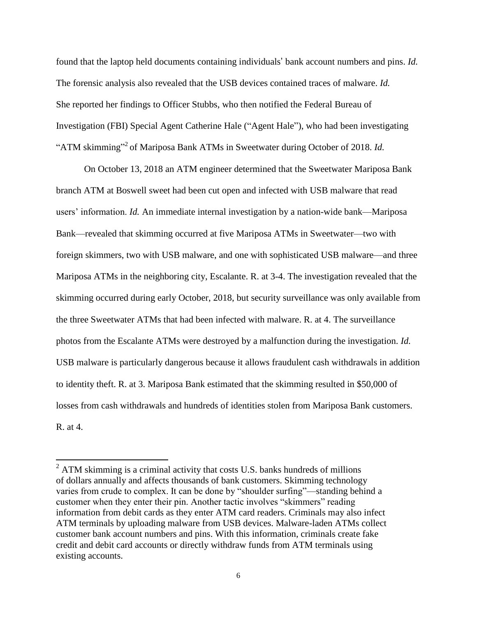found that the laptop held documents containing individuals' bank account numbers and pins. *Id.* The forensic analysis also revealed that the USB devices contained traces of malware. *Id.* She reported her findings to Officer Stubbs, who then notified the Federal Bureau of Investigation (FBI) Special Agent Catherine Hale ("Agent Hale"), who had been investigating "ATM skimming"<sup>2</sup> of Mariposa Bank ATMs in Sweetwater during October of 2018. *Id*.

On October 13, 2018 an ATM engineer determined that the Sweetwater Mariposa Bank branch ATM at Boswell sweet had been cut open and infected with USB malware that read users' information. *Id.* An immediate internal investigation by a nation-wide bank—Mariposa Bank—revealed that skimming occurred at five Mariposa ATMs in Sweetwater—two with foreign skimmers, two with USB malware, and one with sophisticated USB malware—and three Mariposa ATMs in the neighboring city, Escalante. R. at 3-4. The investigation revealed that the skimming occurred during early October, 2018, but security surveillance was only available from the three Sweetwater ATMs that had been infected with malware. R. at 4. The surveillance photos from the Escalante ATMs were destroyed by a malfunction during the investigation. *Id.* USB malware is particularly dangerous because it allows fraudulent cash withdrawals in addition to identity theft. R. at 3. Mariposa Bank estimated that the skimming resulted in \$50,000 of losses from cash withdrawals and hundreds of identities stolen from Mariposa Bank customers. R. at 4.

 $\overline{a}$ 

 $2$  ATM skimming is a criminal activity that costs U.S. banks hundreds of millions of dollars annually and affects thousands of bank customers. Skimming technology varies from crude to complex. It can be done by "shoulder surfing"—standing behind a customer when they enter their pin. Another tactic involves "skimmers" reading information from debit cards as they enter ATM card readers. Criminals may also infect ATM terminals by uploading malware from USB devices. Malware-laden ATMs collect customer bank account numbers and pins. With this information, criminals create fake credit and debit card accounts or directly withdraw funds from ATM terminals using existing accounts.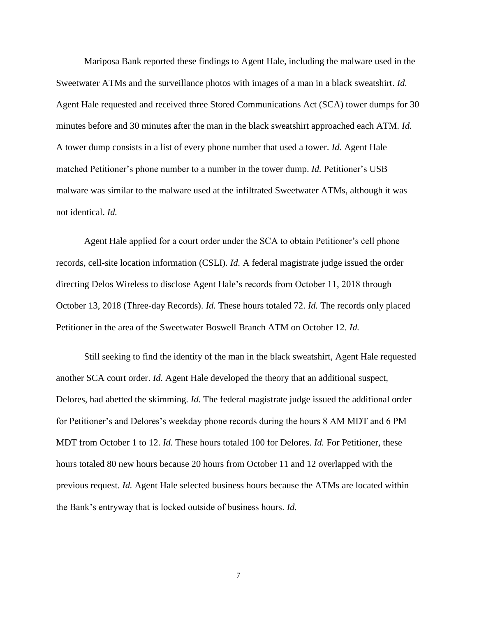Mariposa Bank reported these findings to Agent Hale, including the malware used in the Sweetwater ATMs and the surveillance photos with images of a man in a black sweatshirt. *Id.* Agent Hale requested and received three Stored Communications Act (SCA) tower dumps for 30 minutes before and 30 minutes after the man in the black sweatshirt approached each ATM. *Id.* A tower dump consists in a list of every phone number that used a tower. *Id.* Agent Hale matched Petitioner's phone number to a number in the tower dump. *Id.* Petitioner's USB malware was similar to the malware used at the infiltrated Sweetwater ATMs, although it was not identical. *Id.*

Agent Hale applied for a court order under the SCA to obtain Petitioner's cell phone records, cell-site location information (CSLI). *Id.* A federal magistrate judge issued the order directing Delos Wireless to disclose Agent Hale's records from October 11, 2018 through October 13, 2018 (Three-day Records). *Id.* These hours totaled 72. *Id.* The records only placed Petitioner in the area of the Sweetwater Boswell Branch ATM on October 12. *Id.*

Still seeking to find the identity of the man in the black sweatshirt, Agent Hale requested another SCA court order. *Id.* Agent Hale developed the theory that an additional suspect, Delores, had abetted the skimming. *Id.* The federal magistrate judge issued the additional order for Petitioner's and Delores's weekday phone records during the hours 8 AM MDT and 6 PM MDT from October 1 to 12. *Id.* These hours totaled 100 for Delores. *Id.* For Petitioner, these hours totaled 80 new hours because 20 hours from October 11 and 12 overlapped with the previous request. *Id.* Agent Hale selected business hours because the ATMs are located within the Bank's entryway that is locked outside of business hours. *Id.*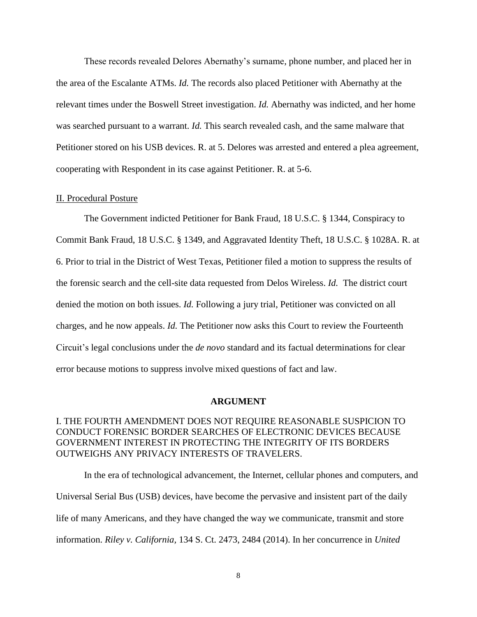These records revealed Delores Abernathy's surname, phone number, and placed her in the area of the Escalante ATMs. *Id.* The records also placed Petitioner with Abernathy at the relevant times under the Boswell Street investigation. *Id.* Abernathy was indicted, and her home was searched pursuant to a warrant. *Id.* This search revealed cash, and the same malware that Petitioner stored on his USB devices. R. at 5. Delores was arrested and entered a plea agreement, cooperating with Respondent in its case against Petitioner. R. at 5-6.

#### II. Procedural Posture

The Government indicted Petitioner for Bank Fraud, 18 U.S.C. § 1344, Conspiracy to Commit Bank Fraud, 18 U.S.C. § 1349, and Aggravated Identity Theft, 18 U.S.C. § 1028A. R. at 6. Prior to trial in the District of West Texas, Petitioner filed a motion to suppress the results of the forensic search and the cell-site data requested from Delos Wireless. *Id.* The district court denied the motion on both issues. *Id.* Following a jury trial, Petitioner was convicted on all charges, and he now appeals. *Id.* The Petitioner now asks this Court to review the Fourteenth Circuit's legal conclusions under the *de novo* standard and its factual determinations for clear error because motions to suppress involve mixed questions of fact and law.

#### **ARGUMENT**

## I. THE FOURTH AMENDMENT DOES NOT REQUIRE REASONABLE SUSPICION TO CONDUCT FORENSIC BORDER SEARCHES OF ELECTRONIC DEVICES BECAUSE GOVERNMENT INTEREST IN PROTECTING THE INTEGRITY OF ITS BORDERS OUTWEIGHS ANY PRIVACY INTERESTS OF TRAVELERS.

In the era of technological advancement, the Internet, cellular phones and computers, and Universal Serial Bus (USB) devices, have become the pervasive and insistent part of the daily life of many Americans, and they have changed the way we communicate, transmit and store information. *Riley v. California,* 134 S. Ct. 2473, 2484 (2014). In her concurrence in *United*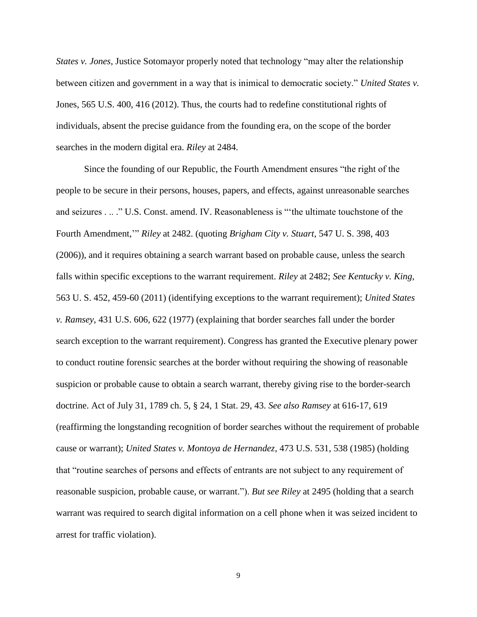*States v. Jones*, Justice Sotomayor properly noted that technology "may alter the relationship between citizen and government in a way that is inimical to democratic society." *United States v.*  Jones, 565 U.S. 400, 416 (2012). Thus, the courts had to redefine constitutional rights of individuals, absent the precise guidance from the founding era, on the scope of the border searches in the modern digital era. *Riley* at 2484.

Since the founding of our Republic, the Fourth Amendment ensures "the right of the people to be secure in their persons, houses, papers, and effects, against unreasonable searches and seizures . .. ." U.S. Const. amend. IV. Reasonableness is "'the ultimate touchstone of the Fourth Amendment,'" *Riley* at 2482. (quoting *[Brigham City v. Stuart](https://advance.lexis.com/document/documentlink/?pdmfid=1000516&crid=bd61a264-03c0-4b52-b2e1-fd3bf685b2b5&pddocfullpath=%2Fshared%2Fdocument%2Fcases%2Furn%3AcontentItem%3A5CHD-6HM1-F04K-F07D-00000-00&pdcontentcomponentid=6443&pddoctitle=Riley+v.+California%2C+134+S.+Ct.+2473%2C+189+L.+Ed.+2d+430+(2014)&pdproductcontenttypeid=urn%3Apct%3A30&pdiskwicview=false&ecomp=v311k&prid=3e80cc81-e024-4dbf-b1eb-dc5fe96902db)*, 547 U. S. 398, 403 [\(2006\)\)](https://advance.lexis.com/document/documentlink/?pdmfid=1000516&crid=bd61a264-03c0-4b52-b2e1-fd3bf685b2b5&pddocfullpath=%2Fshared%2Fdocument%2Fcases%2Furn%3AcontentItem%3A5CHD-6HM1-F04K-F07D-00000-00&pdcontentcomponentid=6443&pddoctitle=Riley+v.+California%2C+134+S.+Ct.+2473%2C+189+L.+Ed.+2d+430+(2014)&pdproductcontenttypeid=urn%3Apct%3A30&pdiskwicview=false&ecomp=v311k&prid=3e80cc81-e024-4dbf-b1eb-dc5fe96902db), and it requires obtaining a search warrant based on probable cause, unless the search falls within specific exceptions to the warrant requirement. *Riley* at 2482; *See [Kentucky v. King](https://advance.lexis.com/search?crid=db6f8636-b18b-4685-b279-3fd0903a0e23&pdsearchterms=Riley%20v.%20California%2C%20134%20S.%20Ct.%202473%20%282014%29&pdtypeofsearch=urlapi&pdfiltertext=urn%3Ahlct%3A5%2Curn%3Ahlct%3A15%2Curn%3Ahlct%3A3%2Curn%3Ahlct%3A2%252)*, [563 U. S. 452, 459-60 \(2011\)](https://advance.lexis.com/search?crid=db6f8636-b18b-4685-b279-3fd0903a0e23&pdsearchterms=Riley%20v.%20California%2C%20134%20S.%20Ct.%202473%20%282014%29&pdtypeofsearch=urlapi&pdfiltertext=urn%3Ahlct%3A5%2Curn%3Ahlct%3A15%2Curn%3Ahlct%3A3%2Curn%3Ahlct%3A2%252) (identifying exceptions to the warrant requirement); *United States v. Ramsey*, 431 U.S. 606*,* 622 (1977) (explaining that border searches fall under the border search exception to the warrant requirement). Congress has granted the Executive plenary power to conduct routine forensic searches at the border without requiring the showing of reasonable suspicion or probable cause to obtain a search warrant, thereby giving rise to the border-search doctrine. Act of July 31, 1789 ch. 5, § 24, 1 Stat. 29, 43. *See also Ramsey* at 616-17, 619 (reaffirming the longstanding recognition of border searches without the requirement of probable cause or warrant); *United States v. Montoya de Hernandez*, 473 U.S. 531, 538 (1985) (holding that "routine searches of persons and effects of entrants are not subject to any requirement of reasonable suspicion, probable cause, or warrant."). *But see Riley* at 2495 (holding that a search warrant was required to search digital information on a cell phone when it was seized incident to arrest for traffic violation).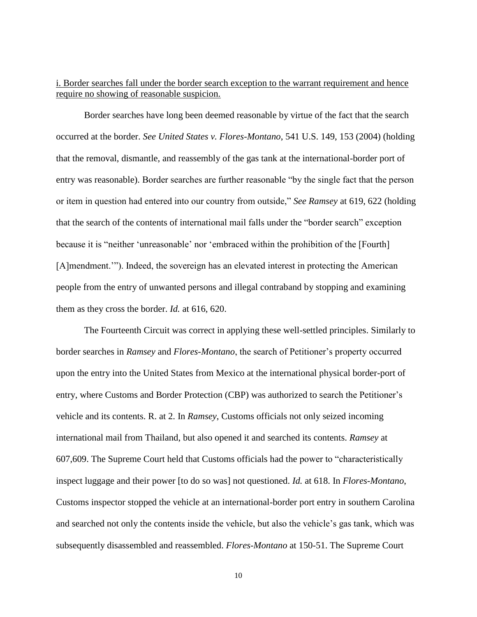## i. Border searches fall under the border search exception to the warrant requirement and hence require no showing of reasonable suspicion.

Border searches have long been deemed reasonable by virtue of the fact that the search occurred at the border. *See United States v. Flores-Montano*, 541 U.S. 149, 153 (2004) (holding that the removal, dismantle, and reassembly of the gas tank at the international-border port of entry was reasonable). Border searches are further reasonable "by the single fact that the person or item in question had entered into our country from outside," *See Ramsey* at 619, 622 (holding that the search of the contents of international mail falls under the "border search" exception because it is "neither 'unreasonable' nor 'embraced within the prohibition of the [Fourth] [A]mendment.'"). Indeed, the sovereign has an elevated interest in protecting the American people from the entry of unwanted persons and illegal contraband by stopping and examining them as they cross the border. *Id.* at 616, 620.

The Fourteenth Circuit was correct in applying these well-settled principles. Similarly to border searches in *Ramsey* and *Flores-Montano*, the search of Petitioner's property occurred upon the entry into the United States from Mexico at the international physical border-port of entry, where Customs and Border Protection (CBP) was authorized to search the Petitioner's vehicle and its contents. R. at 2. In *Ramsey*, Customs officials not only seized incoming international mail from Thailand, but also opened it and searched its contents. *Ramsey* at 607,609. The Supreme Court held that Customs officials had the power to "characteristically inspect luggage and their power [to do so was] not questioned. *Id.* at 618. In *Flores-Montano*, Customs inspector stopped the vehicle at an international-border port entry in southern Carolina and searched not only the contents inside the vehicle, but also the vehicle's gas tank, which was subsequently disassembled and reassembled. *Flores-Montano* at 150-51. The Supreme Court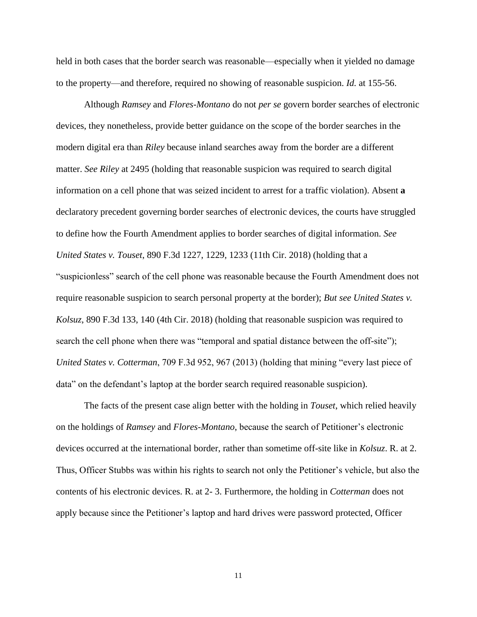held in both cases that the border search was reasonable—especially when it yielded no damage to the property—and therefore, required no showing of reasonable suspicion. *Id.* at 155-56.

Although *Ramsey* and *Flores-Montano* do not *per se* govern border searches of electronic devices, they nonetheless, provide better guidance on the scope of the border searches in the modern digital era than *Riley* because inland searches away from the border are a different matter. *See Riley* at 2495 (holding that reasonable suspicion was required to search digital information on a cell phone that was seized incident to arrest for a traffic violation). Absent **a**  declaratory precedent governing border searches of electronic devices, the courts have struggled to define how the Fourth Amendment applies to border searches of digital information. *See United States v. Touset*, 890 F.3d 1227, 1229, 1233 (11th Cir. 2018) (holding that a "suspicionless" search of the cell phone was reasonable because the Fourth Amendment does not require reasonable suspicion to search personal property at the border); *But see [United States v.](https://advance.lexis.com/document/documentlink/?pdmfid=1000516&crid=1797cb7c-893f-472f-b55b-22c345a08acc&pdworkfolderid=ef15164a-57bd-4490-91ed-e2f387c115bb&ecomp=7311k&prid=243716de-4922-470e-9379-2f1489e44e3b)  Kolsuz*[, 890 F.3d 133, 140 \(4th Cir. 2018\)](https://advance.lexis.com/document/documentlink/?pdmfid=1000516&crid=1797cb7c-893f-472f-b55b-22c345a08acc&pdworkfolderid=ef15164a-57bd-4490-91ed-e2f387c115bb&ecomp=7311k&prid=243716de-4922-470e-9379-2f1489e44e3b) (holding that reasonable suspicion was required to search the cell phone when there was "temporal and spatial distance between the off-site"); *United States v. Cotterman*, 709 F.3d 952, 967 (2013) (holding that mining "every last piece of data" on the defendant's laptop at the border search required reasonable suspicion).

The facts of the present case align better with the holding in *Touset*, which relied heavily on the holdings of *Ramsey* and *Flores-Montano*, because the search of Petitioner's electronic devices occurred at the international border, rather than sometime off-site like in *Kolsuz*. R. at 2. Thus, Officer Stubbs was within his rights to search not only the Petitioner's vehicle, but also the contents of his electronic devices. R. at 2- 3. Furthermore, the holding in *Cotterman* does not apply because since the Petitioner's laptop and hard drives were password protected, Officer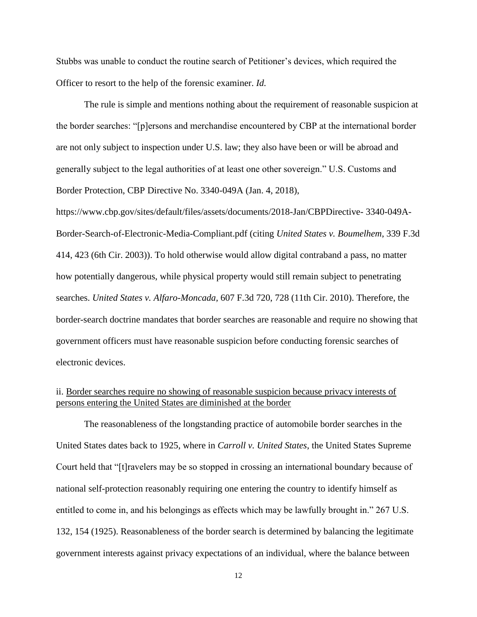Stubbs was unable to conduct the routine search of Petitioner's devices, which required the Officer to resort to the help of the forensic examiner. *Id.*

The rule is simple and mentions nothing about the requirement of reasonable suspicion at the border searches: "[p]ersons and merchandise encountered by CBP at the international border are not only subject to inspection under U.S. law; they also have been or will be abroad and generally subject to the legal authorities of at least one other sovereign." U.S. Customs and Border Protection, CBP Directive No. 3340-049A (Jan. 4, 2018),

https://www.cbp.gov/sites/default/files/assets/documents/2018-Jan/CBPDirective- 3340-049A-Border-Search-of-Electronic-Media-Compliant.pdf (citing *United States v. Boumelhem*, 339 F.3d 414, 423 (6th Cir. 2003)). To hold otherwise would allow digital contraband a pass, no matter how potentially dangerous, while physical property would still remain subject to penetrating searches. *United States v. Alfaro-Moncada,* 607 F.3d 720, 728 (11th Cir. 2010). Therefore, the border-search doctrine mandates that border searches are reasonable and require no showing that government officers must have reasonable suspicion before conducting forensic searches of electronic devices.

## ii. Border searches require no showing of reasonable suspicion because privacy interests of persons entering the United States are diminished at the border

The reasonableness of the longstanding practice of automobile border searches in the United States dates back to 1925, where in *Carroll v. United States*, the United States Supreme Court held that "[t]ravelers may be so stopped in crossing an international boundary because of national self-protection reasonably requiring one entering the country to identify himself as entitled to come in, and his belongings as effects which may be lawfully brought in." 267 U.S. 132, 154 (1925). Reasonableness of the border search is determined by balancing the legitimate government interests against privacy expectations of an individual, where the balance between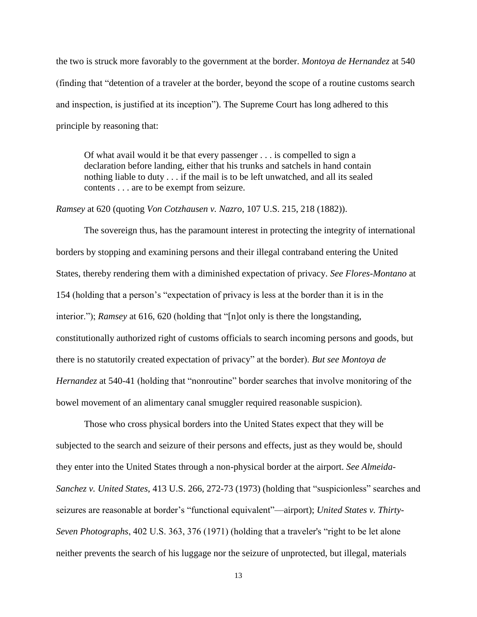the two is struck more favorably to the government at the border. *Montoya de Hernandez* at 540 (finding that "detention of a traveler at the border, beyond the scope of a routine customs search and inspection, is justified at its inception"). The Supreme Court has long adhered to this principle by reasoning that:

Of what avail would it be that every passenger . . . is compelled to sign a declaration before landing, either that his trunks and satchels in hand contain nothing liable to duty . . . if the mail is to be left unwatched, and all its sealed contents . . . are to be exempt from seizure.

#### *Ramsey* at 620 (quoting *Von Cotzhausen v. Nazro*, 107 U.S. 215, 218 (1882)).

The sovereign thus, has the paramount interest in protecting the integrity of international borders by stopping and examining persons and their illegal contraband entering the United States, thereby rendering them with a diminished expectation of privacy. *See Flores-Montano* at 154 (holding that a person's "expectation of privacy is less at the border than it is in the interior."); *Ramsey* at 616, 620 (holding that "[n]ot only is there the longstanding, constitutionally authorized right of customs officials to search incoming persons and goods, but there is no statutorily created expectation of privacy" at the border). *But see Montoya de Hernandez* at 540-41 (holding that "nonroutine" border searches that involve monitoring of the bowel movement of an alimentary canal smuggler required reasonable suspicion).

Those who cross physical borders into the United States expect that they will be subjected to the search and seizure of their persons and effects, just as they would be, should they enter into the United States through a non-physical border at the airport. *See [Almeida-](https://advance.lexis.com/document/documentlink/?pdmfid=1000516&crid=8cb02b58-cdef-45af-ab6a-3b31096d485e&pddocfullpath=%2Fshared%2Fdocument%2Fcases%2Furn%3AcontentItem%3A5S8Y-MYV1-F528-G21P-00000-00&pdcontentcomponentid=6388&pddoctitle=United+States+v.+Kolsuz%2C+890+F.3d+133%2C+No.+16-4687%2C+slip+op.+at+19%2C+2018+U.S.+App.+LEXIS+12147+(4th+Cir.+May+9%2C+2018)&pdproductcontenttypeid=urn%3Apct%3A30&pdiskwicview=false&ecomp=7311k&prid=1797cb7c-893f-472f-b55b-22c345a08acc)Sanchez v. United States*[, 413 U.S. 266, 272-73 \(1973\)](https://advance.lexis.com/document/documentlink/?pdmfid=1000516&crid=8cb02b58-cdef-45af-ab6a-3b31096d485e&pddocfullpath=%2Fshared%2Fdocument%2Fcases%2Furn%3AcontentItem%3A5S8Y-MYV1-F528-G21P-00000-00&pdcontentcomponentid=6388&pddoctitle=United+States+v.+Kolsuz%2C+890+F.3d+133%2C+No.+16-4687%2C+slip+op.+at+19%2C+2018+U.S.+App.+LEXIS+12147+(4th+Cir.+May+9%2C+2018)&pdproductcontenttypeid=urn%3Apct%3A30&pdiskwicview=false&ecomp=7311k&prid=1797cb7c-893f-472f-b55b-22c345a08acc) (holding that "suspicionless" searches and seizures are reasonable at border's "functional equivalent"—airport); *United States v. Thirty-Seven Photographs*, 402 U.S. 363, 376 (1971) (holding that a traveler's "right to be let alone neither prevents the search of his luggage nor the seizure of unprotected, but illegal, materials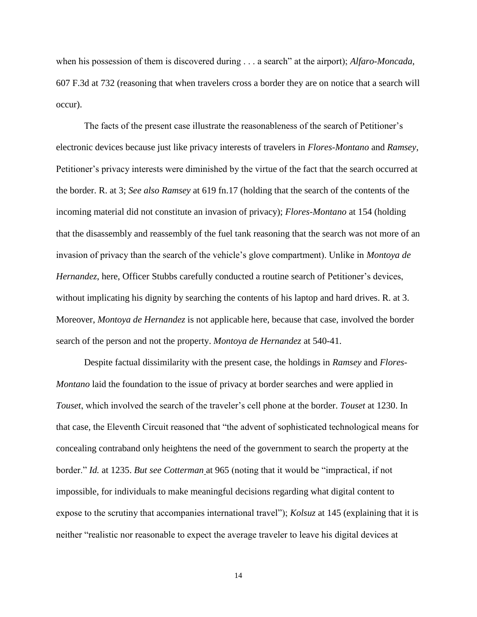when his possession of them is discovered during . . . a search" at the airport); *[Alfaro-Moncada](https://advance.lexis.com/document/?pdmfid=1000516&crid=54d4b2d1-8033-4659-80c1-6bea45c69be6&pdworkfolderid=ef15164a-57bd-4490-91ed-e2f387c115bb&ecomp=1xcck&earg=ef15164a-57bd-4490-91ed-e2f387c115bb&prid=52e78745-1462-4c72-915b-7eaf4e849dab)*, [607 F.3d at 732](https://advance.lexis.com/document/?pdmfid=1000516&crid=54d4b2d1-8033-4659-80c1-6bea45c69be6&pdworkfolderid=ef15164a-57bd-4490-91ed-e2f387c115bb&ecomp=1xcck&earg=ef15164a-57bd-4490-91ed-e2f387c115bb&prid=52e78745-1462-4c72-915b-7eaf4e849dab) (reasoning that when travelers cross a border they are on notice that a search will occur).

The facts of the present case illustrate the reasonableness of the search of Petitioner's electronic devices because just like privacy interests of travelers in *Flores-Montano* and *Ramsey*, Petitioner's privacy interests were diminished by the virtue of the fact that the search occurred at the border. R. at 3; *See also Ramsey* at 619 fn.17 (holding that the search of the contents of the incoming material did not constitute an invasion of privacy); *Flores-Montano* at 154 (holding that the disassembly and reassembly of the fuel tank reasoning that the search was not more of an invasion of privacy than the search of the vehicle's glove compartment). Unlike in *Montoya de Hernandez*, here, Officer Stubbs carefully conducted a routine search of Petitioner's devices, without implicating his dignity by searching the contents of his laptop and hard drives. R. at 3. Moreover, *Montoya de Hernandez* is not applicable here, because that case, involved the border search of the person and not the property. *Montoya de Hernandez* at 540-41.

Despite factual dissimilarity with the present case, the holdings in *Ramsey* and *Flores-Montano* laid the foundation to the issue of privacy at border searches and were applied in *Touset*, which involved the search of the traveler's cell phone at the border. *Touset* at 1230. In that case, the Eleventh Circuit reasoned that "the advent of sophisticated technological means for concealing contraband only heightens the need of the government to search the property at the border." *Id.* at 1235. *But see [Cotterman](https://advance.lexis.com/document/?pdmfid=1000516&crid=54d4b2d1-8033-4659-80c1-6bea45c69be6&pdworkfolderid=ef15164a-57bd-4490-91ed-e2f387c115bb&ecomp=1xcck&earg=ef15164a-57bd-4490-91ed-e2f387c115bb&prid=52e78745-1462-4c72-915b-7eaf4e849dab)* at 965 (noting that it would be "impractical, if not impossible, for individuals to make meaningful decisions regarding what digital content to expose to the scrutiny that accompanies international travel"); *[Kolsuz](https://advance.lexis.com/document/?pdmfid=1000516&crid=54d4b2d1-8033-4659-80c1-6bea45c69be6&pdworkfolderid=ef15164a-57bd-4490-91ed-e2f387c115bb&ecomp=1xcck&earg=ef15164a-57bd-4490-91ed-e2f387c115bb&prid=52e78745-1462-4c72-915b-7eaf4e849dab)* at 145 (explaining that it is neither "realistic nor reasonable to expect the average traveler to leave his digital devices at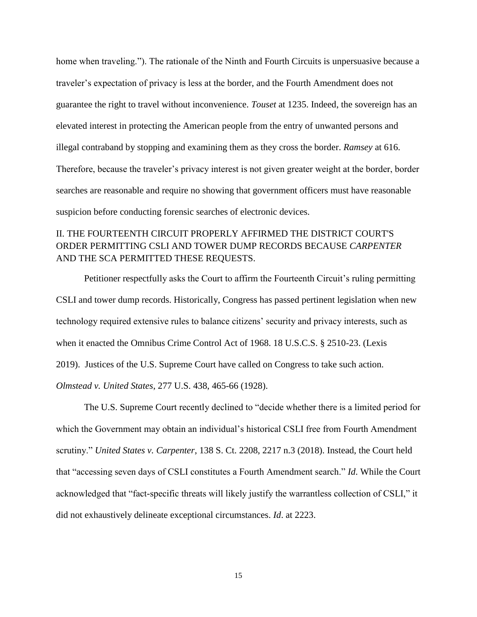home when traveling."). The rationale of the Ninth and Fourth Circuits is unpersuasive because a traveler's expectation of privacy is less at the border, and the Fourth Amendment does not guarantee the right to travel without inconvenience. *Touset* at 1235. Indeed, the sovereign has an elevated interest in protecting the American people from the entry of unwanted persons and illegal contraband by stopping and examining them as they cross the border. *Ramsey* at 616. Therefore, because the traveler's privacy interest is not given greater weight at the border, border searches are reasonable and require no showing that government officers must have reasonable suspicion before conducting forensic searches of electronic devices.

## II. THE FOURTEENTH CIRCUIT PROPERLY AFFIRMED THE DISTRICT COURT'S ORDER PERMITTING CSLI AND TOWER DUMP RECORDS BECAUSE *CARPENTER* AND THE SCA PERMITTED THESE REQUESTS.

Petitioner respectfully asks the Court to affirm the Fourteenth Circuit's ruling permitting CSLI and tower dump records. Historically, Congress has passed pertinent legislation when new technology required extensive rules to balance citizens' security and privacy interests, such as when it enacted the Omnibus Crime Control Act of 1968. 18 U.S.C.S. § 2510-23. (Lexis 2019). Justices of the U.S. Supreme Court have called on Congress to take such action. *Olmstead v. United States*, 277 U.S. 438, 465-66 (1928).

The U.S. Supreme Court recently declined to "decide whether there is a limited period for which the Government may obtain an individual's historical CSLI free from Fourth Amendment scrutiny." *United States v. Carpenter*, 138 S. Ct. 2208, 2217 n.3 (2018). Instead, the Court held that "accessing seven days of CSLI constitutes a Fourth Amendment search." *Id*. While the Court acknowledged that "fact-specific threats will likely justify the warrantless collection of CSLI," it did not exhaustively delineate exceptional circumstances. *Id*. at 2223.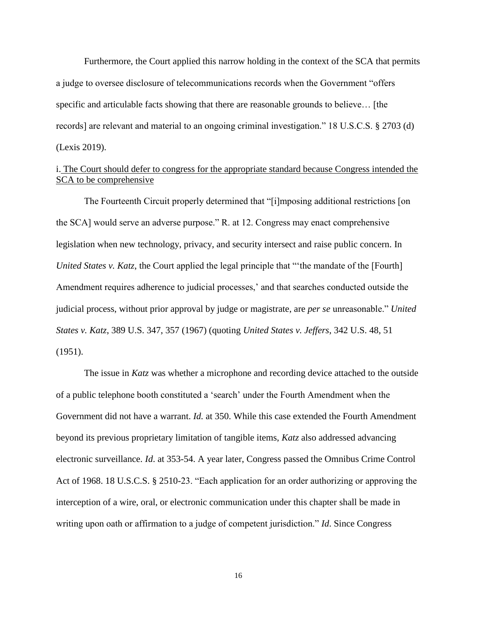Furthermore, the Court applied this narrow holding in the context of the SCA that permits a judge to oversee disclosure of telecommunications records when the Government "offers specific and articulable facts showing that there are reasonable grounds to believe… [the records] are relevant and material to an ongoing criminal investigation." 18 U.S.C.S. § 2703 (d) (Lexis 2019).

## i. The Court should defer to congress for the appropriate standard because Congress intended the SCA to be comprehensive

The Fourteenth Circuit properly determined that "[i]mposing additional restrictions [on the SCA] would serve an adverse purpose." R. at 12. Congress may enact comprehensive legislation when new technology, privacy, and security intersect and raise public concern. In *United States v. Katz*, the Court applied the legal principle that "'the mandate of the [Fourth] Amendment requires adherence to judicial processes,' and that searches conducted outside the judicial process, without prior approval by judge or magistrate, are *per se* unreasonable." *United States v. Katz*, 389 U.S. 347, 357 (1967) (quoting *United States v. Jeffers*, 342 U.S. 48, 51 (1951).

The issue in *Katz* was whether a microphone and recording device attached to the outside of a public telephone booth constituted a 'search' under the Fourth Amendment when the Government did not have a warrant. *Id.* at 350. While this case extended the Fourth Amendment beyond its previous proprietary limitation of tangible items, *Katz* also addressed advancing electronic surveillance. *Id*. at 353-54. A year later, Congress passed the Omnibus Crime Control Act of 1968. 18 U.S.C.S. § 2510-23. "Each application for an order authorizing or approving the interception of a wire, oral, or electronic communication under this chapter shall be made in writing upon oath or affirmation to a judge of competent jurisdiction." *Id*. Since Congress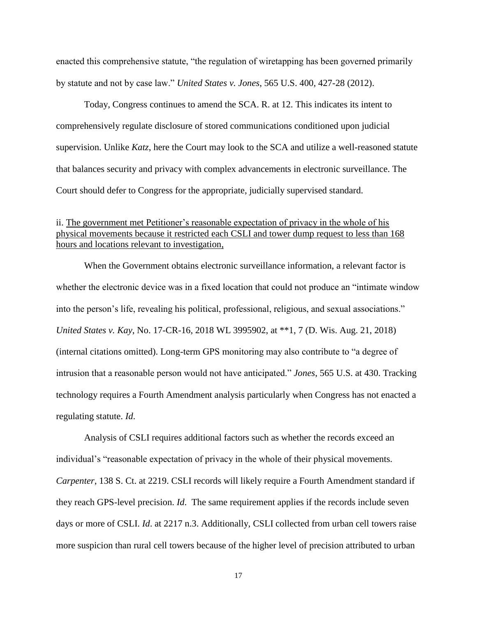enacted this comprehensive statute, "the regulation of wiretapping has been governed primarily by statute and not by case law." *United States v. Jones*, 565 U.S. 400, 427-28 (2012).

Today, Congress continues to amend the SCA. R. at 12. This indicates its intent to comprehensively regulate disclosure of stored communications conditioned upon judicial supervision. Unlike *Katz*, here the Court may look to the SCA and utilize a well-reasoned statute that balances security and privacy with complex advancements in electronic surveillance. The Court should defer to Congress for the appropriate, judicially supervised standard.

## ii. The government met Petitioner's reasonable expectation of privacy in the whole of his physical movements because it restricted each CSLI and tower dump request to less than 168 hours and locations relevant to investigation,

When the Government obtains electronic surveillance information, a relevant factor is whether the electronic device was in a fixed location that could not produce an "intimate window into the person's life, revealing his political, professional, religious, and sexual associations." *United States v. Kay*, No. 17-CR-16, 2018 WL 3995902, at \*\*1, 7 (D. Wis. Aug. 21, 2018) (internal citations omitted). Long-term GPS monitoring may also contribute to "a degree of intrusion that a reasonable person would not have anticipated." *Jones*, 565 U.S. at 430. Tracking technology requires a Fourth Amendment analysis particularly when Congress has not enacted a regulating statute. *Id*.

Analysis of CSLI requires additional factors such as whether the records exceed an individual's "reasonable expectation of privacy in the whole of their physical movements. *Carpenter*, 138 S. Ct. at 2219. CSLI records will likely require a Fourth Amendment standard if they reach GPS-level precision. *Id*. The same requirement applies if the records include seven days or more of CSLI. *Id*. at 2217 n.3. Additionally, CSLI collected from urban cell towers raise more suspicion than rural cell towers because of the higher level of precision attributed to urban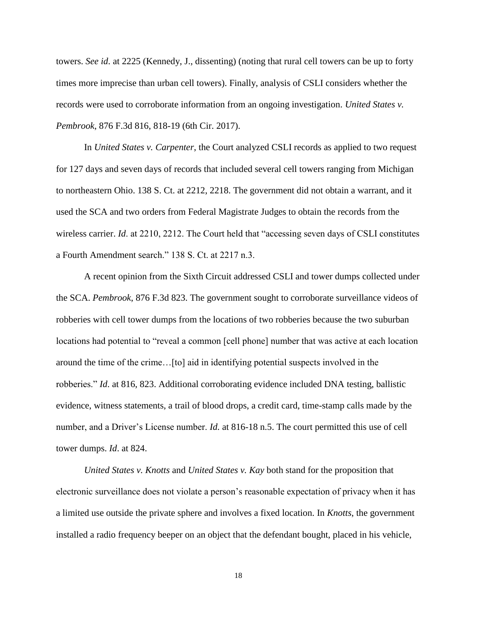towers. *See id*. at 2225 (Kennedy, J., dissenting) (noting that rural cell towers can be up to forty times more imprecise than urban cell towers). Finally, analysis of CSLI considers whether the records were used to corroborate information from an ongoing investigation. *United States v. Pembrook*, 876 F.3d 816, 818-19 (6th Cir. 2017).

In *United States v. Carpenter*, the Court analyzed CSLI records as applied to two request for 127 days and seven days of records that included several cell towers ranging from Michigan to northeastern Ohio. 138 S. Ct. at 2212, 2218. The government did not obtain a warrant, and it used the SCA and two orders from Federal Magistrate Judges to obtain the records from the wireless carrier. *Id*. at 2210, 2212. The Court held that "accessing seven days of CSLI constitutes a Fourth Amendment search." 138 S. Ct. at 2217 n.3.

A recent opinion from the Sixth Circuit addressed CSLI and tower dumps collected under the SCA. *Pembrook*, 876 F.3d 823. The government sought to corroborate surveillance videos of robberies with cell tower dumps from the locations of two robberies because the two suburban locations had potential to "reveal a common [cell phone] number that was active at each location around the time of the crime…[to] aid in identifying potential suspects involved in the robberies." *Id*. at 816, 823. Additional corroborating evidence included DNA testing, ballistic evidence, witness statements, a trail of blood drops, a credit card, time-stamp calls made by the number, and a Driver's License number. *Id.* at 816-18 n.5. The court permitted this use of cell tower dumps. *Id*. at 824.

*United States v. Knotts* and *United States v. Kay* both stand for the proposition that electronic surveillance does not violate a person's reasonable expectation of privacy when it has a limited use outside the private sphere and involves a fixed location. In *Knotts*, the government installed a radio frequency beeper on an object that the defendant bought, placed in his vehicle,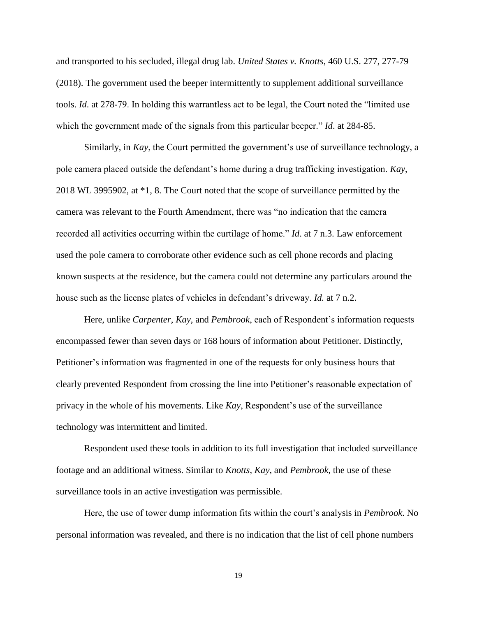and transported to his secluded, illegal drug lab. *United States v. Knotts*, 460 U.S. 277, 277-79 (2018). The government used the beeper intermittently to supplement additional surveillance tools. *Id*. at 278-79. In holding this warrantless act to be legal, the Court noted the "limited use which the government made of the signals from this particular beeper." *Id*. at 284-85.

Similarly, in *Kay*, the Court permitted the government's use of surveillance technology, a pole camera placed outside the defendant's home during a drug trafficking investigation. *Kay*, 2018 WL 3995902, at \*1, 8. The Court noted that the scope of surveillance permitted by the camera was relevant to the Fourth Amendment, there was "no indication that the camera recorded all activities occurring within the curtilage of home." *Id*. at 7 n.3. Law enforcement used the pole camera to corroborate other evidence such as cell phone records and placing known suspects at the residence, but the camera could not determine any particulars around the house such as the license plates of vehicles in defendant's driveway. *Id.* at 7 n.2.

Here, unlike *Carpenter*, *Kay*, and *Pembrook*, each of Respondent's information requests encompassed fewer than seven days or 168 hours of information about Petitioner. Distinctly, Petitioner's information was fragmented in one of the requests for only business hours that clearly prevented Respondent from crossing the line into Petitioner's reasonable expectation of privacy in the whole of his movements. Like *Kay*, Respondent's use of the surveillance technology was intermittent and limited.

Respondent used these tools in addition to its full investigation that included surveillance footage and an additional witness. Similar to *Knotts*, *Kay*, and *Pembrook*, the use of these surveillance tools in an active investigation was permissible.

Here, the use of tower dump information fits within the court's analysis in *Pembrook*. No personal information was revealed, and there is no indication that the list of cell phone numbers